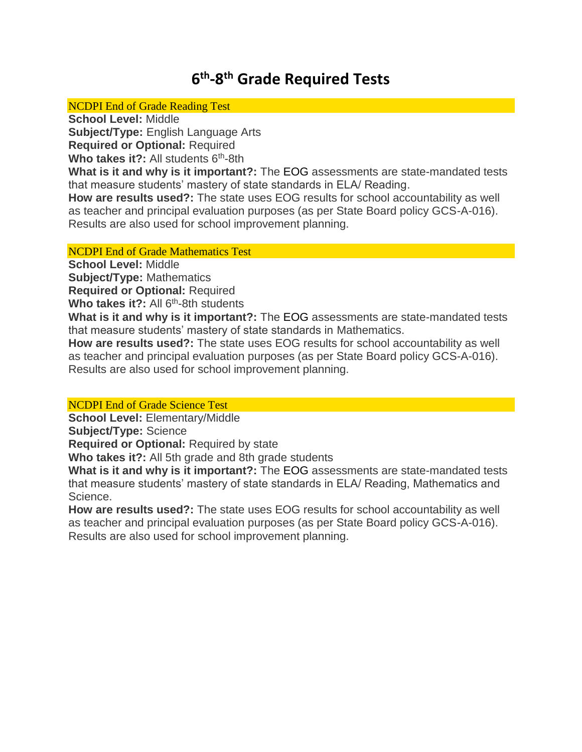# **6 th -8 th Grade Required Tests**

#### NCDPI End of Grade Reading Test

**School Level:** Middle

**Subject/Type:** English Language Arts

**Required or Optional:** Required

Who takes it?: All students 6<sup>th</sup>-8th

**What is it and why is it important?:** The EOG assessments are state-mandated tests that measure students' mastery of state standards in ELA/ Reading.

**How are results used?:** The state uses EOG results for school accountability as well as teacher and principal evaluation purposes (as per State Board policy GCS-A-016). Results are also used for school improvement planning.

## NCDPI End of Grade Mathematics Test

**School Level:** Middle **Subject/Type:** Mathematics **Required or Optional:** Required

Who takes it?: All 6<sup>th</sup>-8th students

**What is it and why is it important?:** The EOG assessments are state-mandated tests that measure students' mastery of state standards in Mathematics.

**How are results used?:** The state uses EOG results for school accountability as well as teacher and principal evaluation purposes (as per State Board policy GCS-A-016). Results are also used for school improvement planning.

## NCDPI End of Grade Science Test

**School Level:** Elementary/Middle

**Subject/Type:** Science

**Required or Optional:** Required by state

**Who takes it?:** All 5th grade and 8th grade students

**What is it and why is it important?:** The [EOG](http://www.ncpublicschools.org/accountability/testing/) assessments are state-mandated tests that measure students' mastery of state standards in ELA/ Reading, Mathematics and Science.

**How are results used?:** The state uses EOG results for school accountability as well as teacher and principal evaluation purposes (as per State Board policy GCS-A-016). Results are also used for school improvement planning.